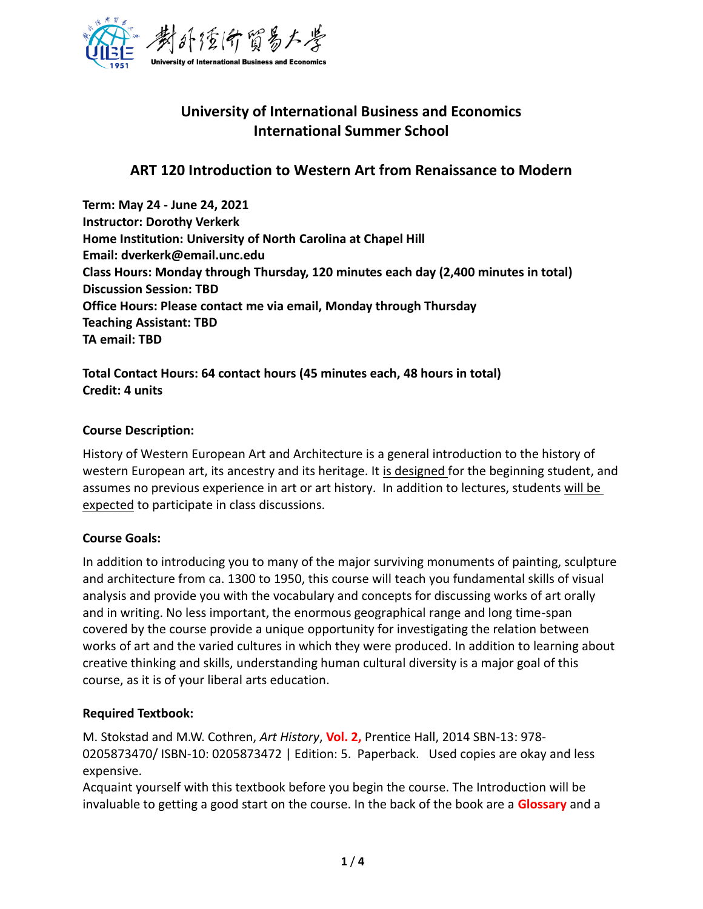

# **University of International Business and Economics International Summer School**

## **ART 120 Introduction to Western Art from Renaissance to Modern**

**Term: May 24 - June 24, 2021 Instructor: Dorothy Verkerk Home Institution: University of North Carolina at Chapel Hill Email: dverkerk@email.unc.edu Class Hours: Monday through Thursday, 120 minutes each day (2,400 minutes in total) Discussion Session: TBD Office Hours: Please contact me via email, Monday through Thursday Teaching Assistant: TBD TA email: TBD**

**Total Contact Hours: 64 contact hours (45 minutes each, 48 hours in total) Credit: 4 units**

## **Course Description:**

History of Western European Art and Architecture is a general introduction to the history of western European art, its ancestry and its heritage. It is designed for the beginning student, and assumes no previous experience in art or art history. In addition to lectures, students will be expected to participate in class discussions.

### **Course Goals:**

In addition to introducing you to many of the major surviving monuments of painting, sculpture and architecture from ca. 1300 to 1950, this course will teach you fundamental skills of visual analysis and provide you with the vocabulary and concepts for discussing works of art orally and in writing. No less important, the enormous geographical range and long time-span covered by the course provide a unique opportunity for investigating the relation between works of art and the varied cultures in which they were produced. In addition to learning about creative thinking and skills, understanding human cultural diversity is a major goal of this course, as it is of your liberal arts education.

## **Required Textbook:**

M. Stokstad and M.W. Cothren, *Art History*, **Vol. 2,** Prentice Hall, 2014 SBN-13: 978- 0205873470/ ISBN-10: 0205873472 | Edition: 5. Paperback. Used copies are okay and less expensive.

Acquaint yourself with this textbook before you begin the course. The Introduction will be invaluable to getting a good start on the course. In the back of the book are a **Glossary** and a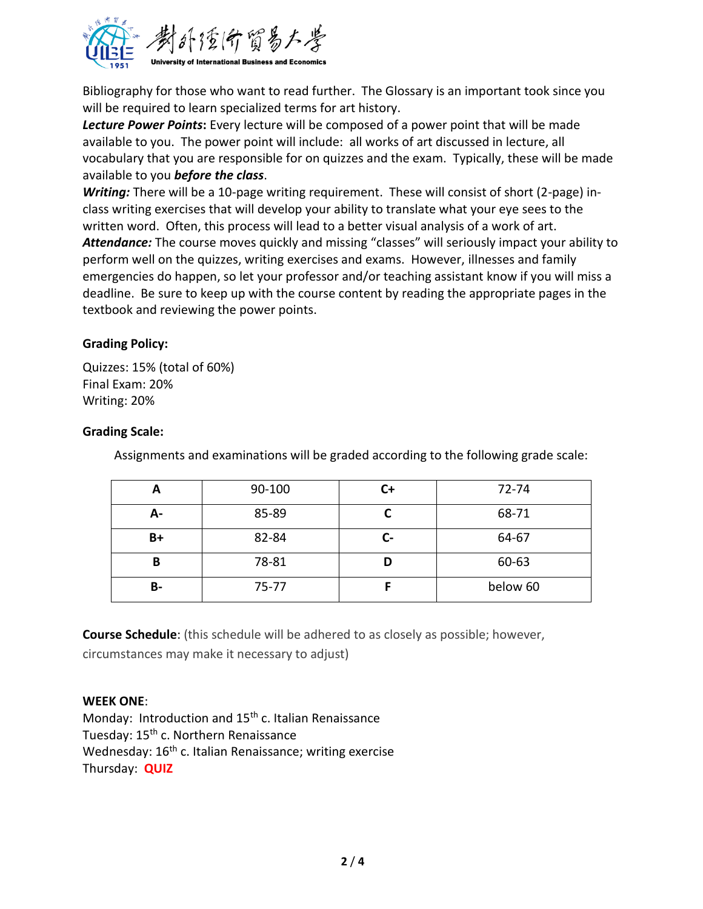

Bibliography for those who want to read further. The Glossary is an important took since you will be required to learn specialized terms for art history.

*Lecture Power Points***:** Every lecture will be composed of a power point that will be made available to you. The power point will include: all works of art discussed in lecture, all vocabulary that you are responsible for on quizzes and the exam. Typically, these will be made available to you *before the class*.

*Writing:* There will be a 10-page writing requirement. These will consist of short (2-page) inclass writing exercises that will develop your ability to translate what your eye sees to the written word. Often, this process will lead to a better visual analysis of a work of art. Attendance: The course moves quickly and missing "classes" will seriously impact your ability to perform well on the quizzes, writing exercises and exams. However, illnesses and family emergencies do happen, so let your professor and/or teaching assistant know if you will miss a deadline. Be sure to keep up with the course content by reading the appropriate pages in the textbook and reviewing the power points.

### **Grading Policy:**

Quizzes: 15% (total of 60%) Final Exam: 20% Writing: 20%

### **Grading Scale:**

Assignments and examinations will be graded according to the following grade scale:

|           | 90-100    | C+ | $72 - 74$ |
|-----------|-----------|----|-----------|
| А-        | 85-89     |    | 68-71     |
| $B+$      | 82-84     |    | 64-67     |
| В         | 78-81     |    | 60-63     |
| <b>B-</b> | $75 - 77$ |    | below 60  |

**Course Schedule**: (this schedule will be adhered to as closely as possible; however,

circumstances may make it necessary to adjust)

### **WEEK ONE**:

Monday: Introduction and 15<sup>th</sup> c. Italian Renaissance Tuesday: 15<sup>th</sup> c. Northern Renaissance Wednesday: 16<sup>th</sup> c. Italian Renaissance; writing exercise Thursday: **QUIZ**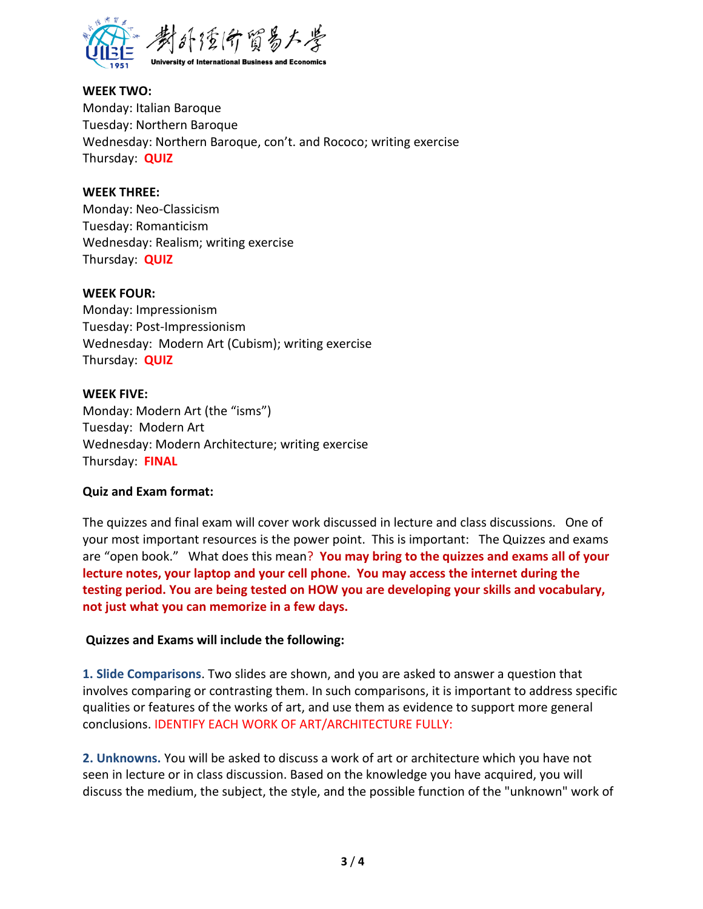

**WEEK TWO:** Monday: Italian Baroque Tuesday: Northern Baroque Wednesday: Northern Baroque, con't. and Rococo; writing exercise Thursday: **QUIZ**

#### **WEEK THREE:**

Monday: Neo-Classicism Tuesday: Romanticism Wednesday: Realism; writing exercise Thursday: **QUIZ**

#### **WEEK FOUR:**

Monday: Impressionism Tuesday: Post-Impressionism Wednesday: Modern Art (Cubism); writing exercise Thursday: **QUIZ**

#### **WEEK FIVE:**

Monday: Modern Art (the "isms") Tuesday: Modern Art Wednesday: Modern Architecture; writing exercise Thursday: **FINAL**

#### **Quiz and Exam format:**

The quizzes and final exam will cover work discussed in lecture and class discussions. One of your most important resources is the power point. This is important: The Quizzes and exams are "open book." What does this mean? **You may bring to the quizzes and exams all of your lecture notes, your laptop and your cell phone. You may access the internet during the testing period. You are being tested on HOW you are developing your skills and vocabulary, not just what you can memorize in a few days.** 

#### **Quizzes and Exams will include the following:**

**1. Slide Comparisons**. Two slides are shown, and you are asked to answer a question that involves comparing or contrasting them. In such comparisons, it is important to address specific qualities or features of the works of art, and use them as evidence to support more general conclusions. IDENTIFY EACH WORK OF ART/ARCHITECTURE FULLY:

**2. Unknowns.** You will be asked to discuss a work of art or architecture which you have not seen in lecture or in class discussion. Based on the knowledge you have acquired, you will discuss the medium, the subject, the style, and the possible function of the "unknown" work of